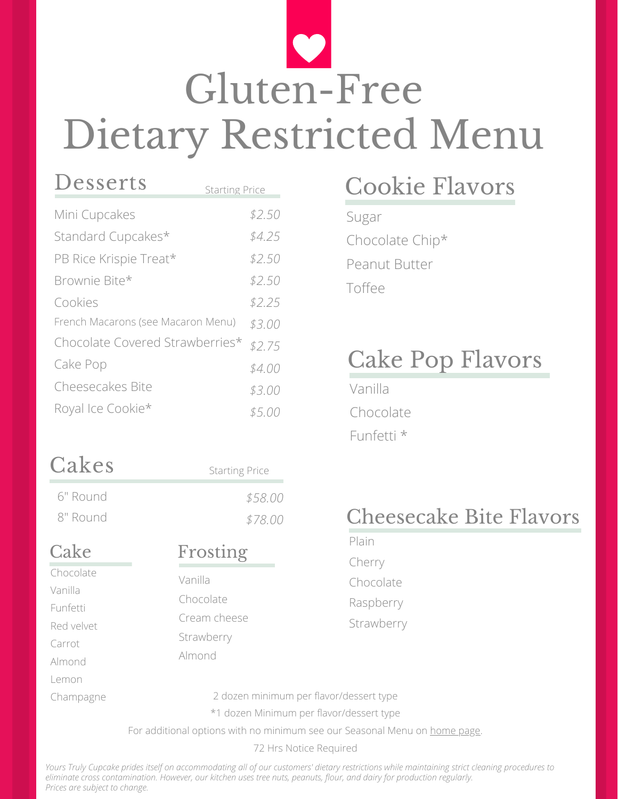# Gluten-Free Dietary Restricted Menu

| Desserts                           | <b>Starting Price</b> |
|------------------------------------|-----------------------|
| Mini Cupcakes                      | \$2.50                |
| Standard Cupcakes*                 | \$4.25                |
| PB Rice Krispie Treat*             | \$2.50                |
| Brownie Bite*                      | \$2.50                |
| Cookies                            | \$2.25                |
| French Macarons (see Macaron Menu) | \$3.00                |
| Chocolate Covered Strawberries*    | \$2.75                |
| Cake Pop                           | \$4.00                |
| <b>Cheesecakes Bite</b>            | \$3.00                |
| Royal Ice Cookie*                  | \$5.00                |

# Cakes

6" Round

8" Round

| <b>Starting Price</b> |
|-----------------------|
| \$58.00               |
| \$78.00               |

### Cake

Chocolate Vanilla Funfetti Red velvet Carrot Almond Lemon Champagne

### Frosting

Vanilla Chocolate Cream cheese Strawberry Almond

#### 2 dozen minimum per flavor/dessert type

\*1 dozen Minimum per flavor/dessert type

For additional options with no minimum see our Seasonal Menu on [home](https://yourstrulycupcake.com/) page.

72 Hrs Notice Required

*Yours Truly Cupcake prides itself on accommodating all of our customers' dietary restrictions while maintaining strict cleaning procedures to eliminate cross contamination. However, our kitchen uses tree nuts, peanuts, flour, and dairy for production regularly. Prices are subject to change.*

## Cookie Flavors

Sugar Chocolate Chip\* Peanut Butter Toffee

### Cake Pop Flavors

Vanilla Chocolate Funfetti \*

### Cheesecake Bite Flavors

Plain Cherry Chocolate Raspberry Strawberry